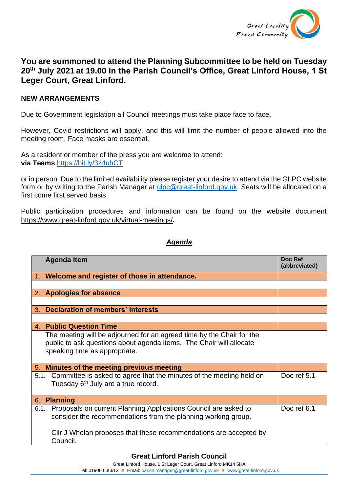

## **You are summoned to attend the Planning Subcommittee to be held on Tuesday 20th July 2021 at 19.00 in the Parish Council's Office, Great Linford House, 1 St Leger Court, Great Linford.**

## **NEW ARRANGEMENTS**

Due to Government legislation all Council meetings must take place face to face.

However, Covid restrictions will apply, and this will limit the number of people allowed into the meeting room. Face masks are essential.

As a resident or member of the press you are welcome to attend: **via Teams** <https://bit.ly/3z4uhCT>

or in person. Due to the limited availability please register your desire to attend via the GLPC website form or by writing to the Parish Manager at [glpc@great-linford.gov.uk.](mailto:glpc@great-linford.gov.uk) Seats will be allocated on a first come first served basis.

Public participation procedures and information can be found on the website document <https://www.great-linford.gov.uk/virtual-meetings/>**.**

## *Agenda*

| <b>Agenda Item</b>                                                                                                                                                            | Doc Ref<br>(abbreviated) |
|-------------------------------------------------------------------------------------------------------------------------------------------------------------------------------|--------------------------|
| 1. Welcome and register of those in attendance.                                                                                                                               |                          |
|                                                                                                                                                                               |                          |
| 2. Apologies for absence                                                                                                                                                      |                          |
|                                                                                                                                                                               |                          |
| <b>Declaration of members' interests</b><br>3.                                                                                                                                |                          |
|                                                                                                                                                                               |                          |
| 4. Public Question Time                                                                                                                                                       |                          |
| The meeting will be adjourned for an agreed time by the Chair for the<br>public to ask questions about agenda items. The Chair will allocate<br>speaking time as appropriate. |                          |
| 5. Minutes of the meeting previous meeting                                                                                                                                    |                          |
| 5.1. Committee is asked to agree that the minutes of the meeting held on<br>Tuesday 6 <sup>th</sup> July are a true record.                                                   | Doc ref 5.1              |
| <b>Planning</b><br>6.                                                                                                                                                         |                          |
| Proposals on current Planning Applications Council are asked to<br>6.1.<br>consider the recommendations from the planning working group.                                      | Doc ref 6.1              |
| Cllr J Whelan proposes that these recommendations are accepted by<br>Council.                                                                                                 |                          |